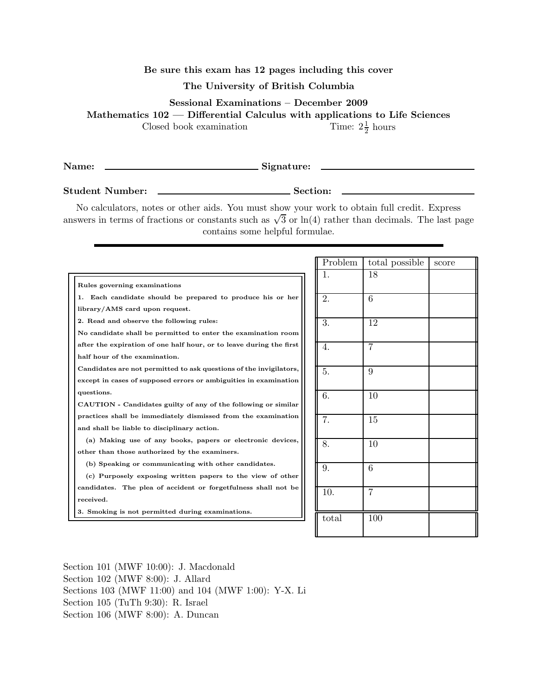## Be sure this exam has 12 pages including this cover

## The University of British Columbia

Sessional Examinations – December 2009

Mathematics 102 — Differential Calculus with applications to Life Sciences

Closed book examination

Name: Signature:

Student Number: Section:

1  $\frac{1}{2}$  hours

 $\mathcal{L}^{\text{max}}_{\text{max}}$  , and  $\mathcal{L}^{\text{max}}_{\text{max}}$ 

No calculators, notes or other aids. You must show your work to obtain full credit. Express answers in terms of fractions or constants such as  $\sqrt{3}$  or  $\ln(4)$  rather than decimals. The last page contains some helpful formulae.

|                                                                     | Problem | total possible | score |
|---------------------------------------------------------------------|---------|----------------|-------|
|                                                                     | 1.      | 18             |       |
| Rules governing examinations                                        |         |                |       |
| 1. Each candidate should be prepared to produce his or her          | 2.      | 6              |       |
| library/AMS card upon request.                                      |         |                |       |
| 2. Read and observe the following rules:                            | 3.      | 12             |       |
| No candidate shall be permitted to enter the examination room       |         |                |       |
| after the expiration of one half hour, or to leave during the first | 4.      | 7              |       |
| half hour of the examination.                                       |         |                |       |
| Candidates are not permitted to ask questions of the invigilators,  | 5.      | 9              |       |
| except in cases of supposed errors or ambiguities in examination    |         |                |       |
| questions.                                                          | 6.      | 10             |       |
| CAUTION - Candidates guilty of any of the following or similar      |         |                |       |
| practices shall be immediately dismissed from the examination       | 7.      | 15             |       |
| and shall be liable to disciplinary action.                         |         |                |       |
| (a) Making use of any books, papers or electronic devices,          | 8.      | 10             |       |
| other than those authorized by the examiners.                       |         |                |       |
| (b) Speaking or communicating with other candidates.                | 9.      | 6              |       |
| (c) Purposely exposing written papers to the view of other          |         |                |       |
| candidates. The plea of accident or forgetfulness shall not be      | 10.     | 7              |       |
| received.                                                           |         |                |       |
| 3. Smoking is not permitted during examinations.                    |         |                |       |
|                                                                     | total   | 100            |       |
|                                                                     |         |                |       |

Section 101 (MWF 10:00): J. Macdonald Section 102 (MWF 8:00): J. Allard Sections 103 (MWF 11:00) and 104 (MWF 1:00): Y-X. Li Section 105 (TuTh 9:30): R. Israel Section 106 (MWF 8:00): A. Duncan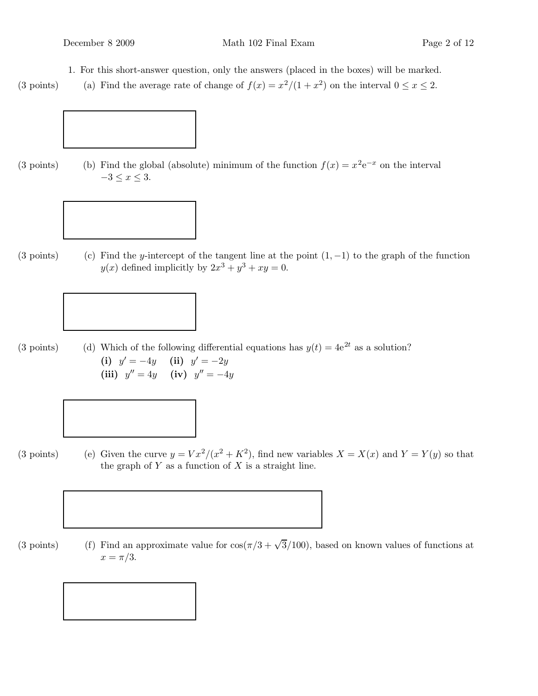1. For this short-answer question, only the answers (placed in the boxes) will be marked.

(3 points) (a) Find the average rate of change of  $f(x) = x^2/(1 + x^2)$  on the interval  $0 \le x \le 2$ .



(3 points) (b) Find the global (absolute) minimum of the function  $f(x) = x^2 e^{-x}$  on the interval  $-3 \leq x \leq 3$ .



(3 points) (c) Find the y-intercept of the tangent line at the point  $(1, -1)$  to the graph of the function  $y(x)$  defined implicitly by  $2x^3 + y^3 + xy = 0$ .





(3 points) (e) Given the curve  $y = Vx^2/(x^2 + K^2)$ , find new variables  $X = X(x)$  and  $Y = Y(y)$  so that the graph of  $Y$  as a function of  $X$  is a straight line.



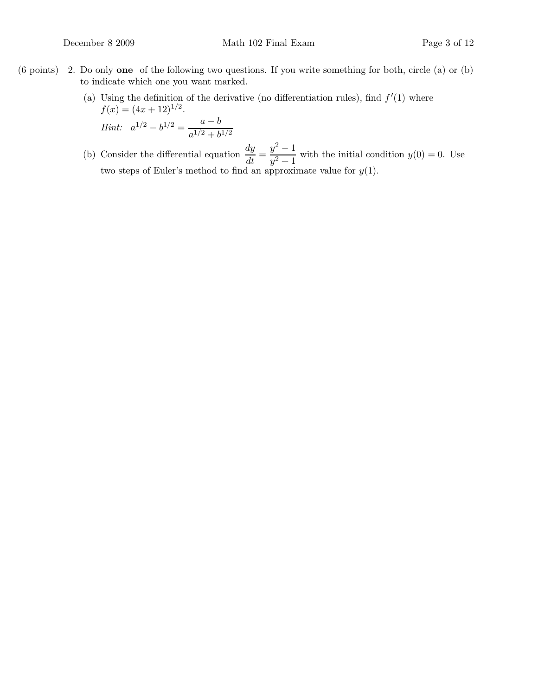- (6 points) 2. Do only one of the following two questions. If you write something for both, circle (a) or (b) to indicate which one you want marked.
	- (a) Using the definition of the derivative (no differentiation rules), find  $f'(1)$  where  $f(x) = (4x + 12)^{1/2}.$

Hint:  $a^{1/2} - b^{1/2} = \frac{a-b}{a^{1/2} + b}$  $a^{1/2} + b^{1/2}$ 

(b) Consider the differential equation  $\frac{dy}{dt} = \frac{y^2 - 1}{y^2 + 1}$  $\frac{y}{y^2+1}$  with the initial condition  $y(0) = 0$ . Use two steps of Euler's method to find an approximate value for  $y(1)$ .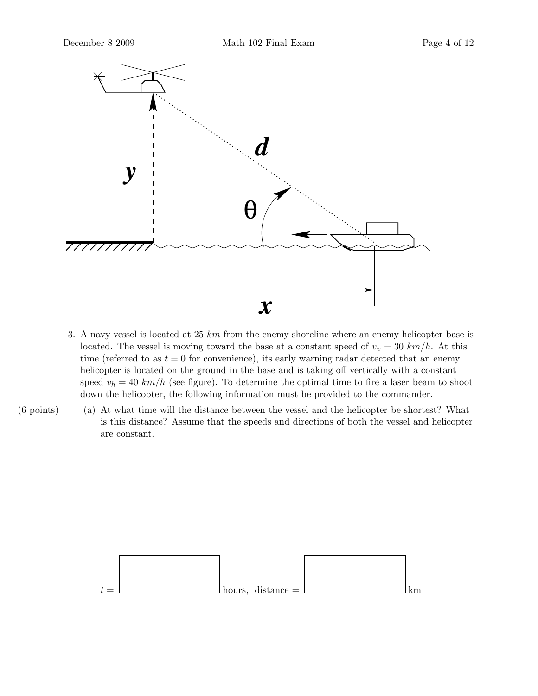

- 3. A navy vessel is located at 25  $km$  from the enemy shoreline where an enemy helicopter base is located. The vessel is moving toward the base at a constant speed of  $v_v = 30 \; km/h$ . At this time (referred to as  $t = 0$  for convenience), its early warning radar detected that an enemy helicopter is located on the ground in the base and is taking off vertically with a constant speed  $v_h = 40 \; km/h$  (see figure). To determine the optimal time to fire a laser beam to shoot down the helicopter, the following information must be provided to the commander.
- (6 points) (a) At what time will the distance between the vessel and the helicopter be shortest? What is this distance? Assume that the speeds and directions of both the vessel and helicopter are constant.

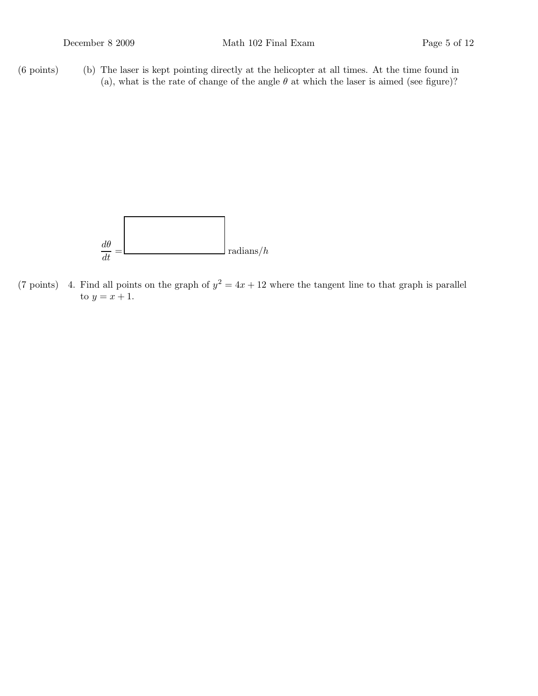(6 points) (b) The laser is kept pointing directly at the helicopter at all times. At the time found in (a), what is the rate of change of the angle  $\theta$  at which the laser is aimed (see figure)?



(7 points) 4. Find all points on the graph of  $y^2 = 4x + 12$  where the tangent line to that graph is parallel to  $y = x + 1$ .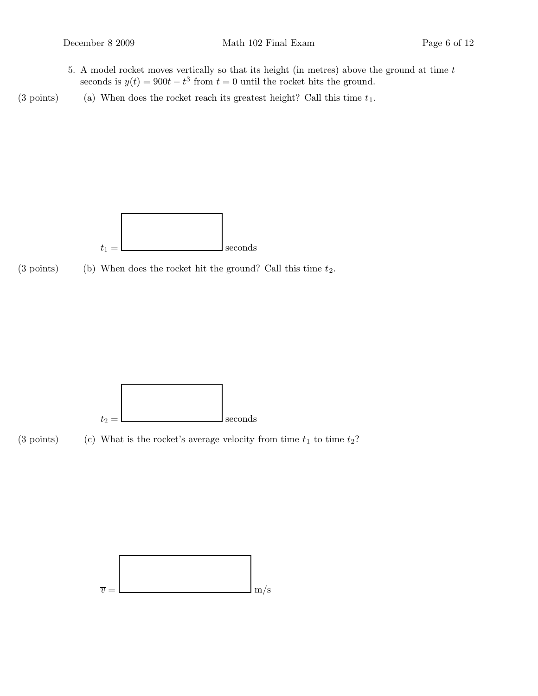- 5. A model rocket moves vertically so that its height (in metres) above the ground at time  $t$ seconds is  $y(t) = 900t - t^3$  from  $t = 0$  until the rocket hits the ground.
- (3 points) (a) When does the rocket reach its greatest height? Call this time  $t_1$ .



(3 points) (b) When does the rocket hit the ground? Call this time  $t_2$ .



(3 points) (c) What is the rocket's average velocity from time  $t_1$  to time  $t_2$ ?

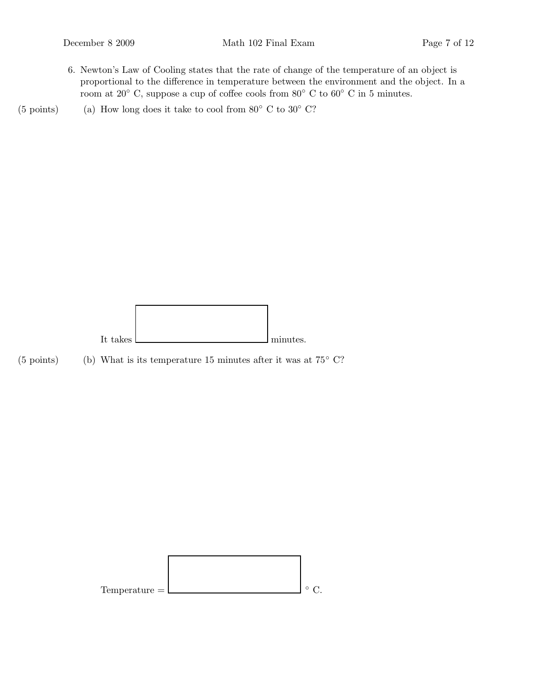6. Newton's Law of Cooling states that the rate of change of the temperature of an object is proportional to the difference in temperature between the environment and the object. In a room at 20° C, suppose a cup of coffee cools from 80° C to 60° C in 5 minutes.

(5 points) (a) How long does it take to cool from  $80°$  C to  $30°$  C?



(5 points) (b) What is its temperature 15 minutes after it was at  $75°$  C?

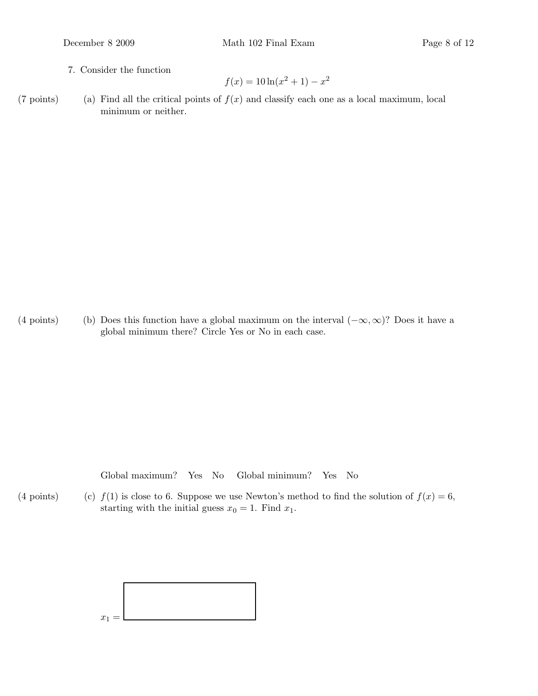7. Consider the function

$$
f(x) = 10\ln(x^2 + 1) - x^2
$$

(7 points) (a) Find all the critical points of  $f(x)$  and classify each one as a local maximum, local minimum or neither.

(4 points) (b) Does this function have a global maximum on the interval  $(-\infty,\infty)$ ? Does it have a global minimum there? Circle Yes or No in each case.

Global maximum? Yes No Global minimum? Yes No

(4 points) (c)  $f(1)$  is close to 6. Suppose we use Newton's method to find the solution of  $f(x) = 6$ , starting with the initial guess  $x_0 = 1$ . Find  $x_1$ .

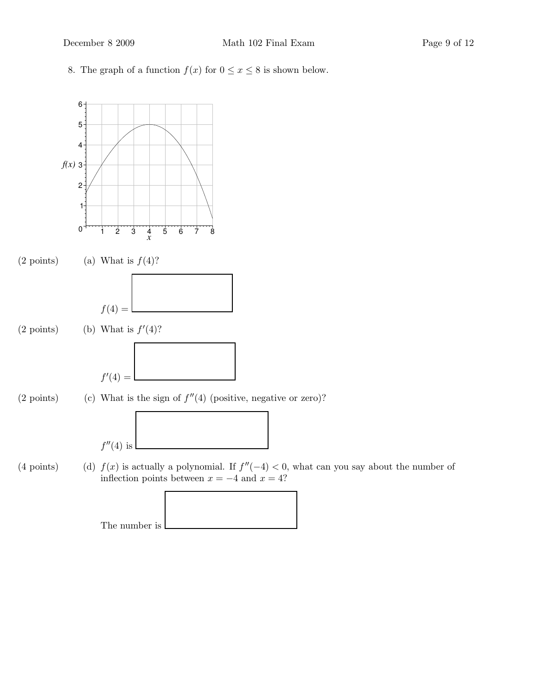8. The graph of a function  $f(x)$  for  $0 \le x \le 8$  is shown below.

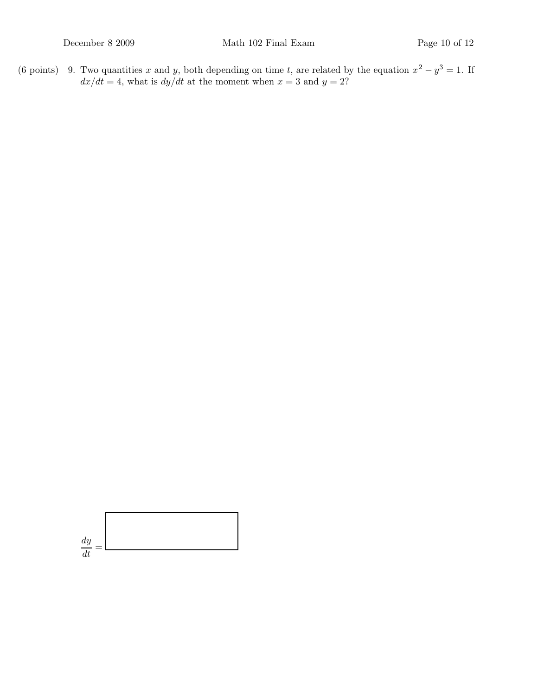(6 points) 9. Two quantities x and y, both depending on time t, are related by the equation  $x^2 - y^3 = 1$ . If  $dx/dt = 4$ , what is  $dy/dt$  at the moment when  $x = 3$  and  $y = 2$ ?

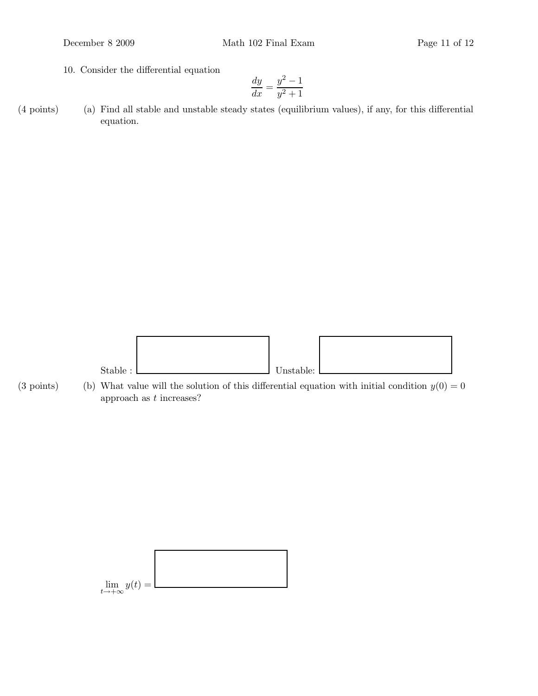10. Consider the differential equation

$$
\frac{dy}{dx} = \frac{y^2 - 1}{y^2 + 1}
$$

(4 points) (a) Find all stable and unstable steady states (equilibrium values), if any, for this differential equation.



(3 points) (b) What value will the solution of this differential equation with initial condition  $y(0) = 0$ approach as  $t$  increases?

$$
\lim_{t \to +\infty} y(t) =
$$